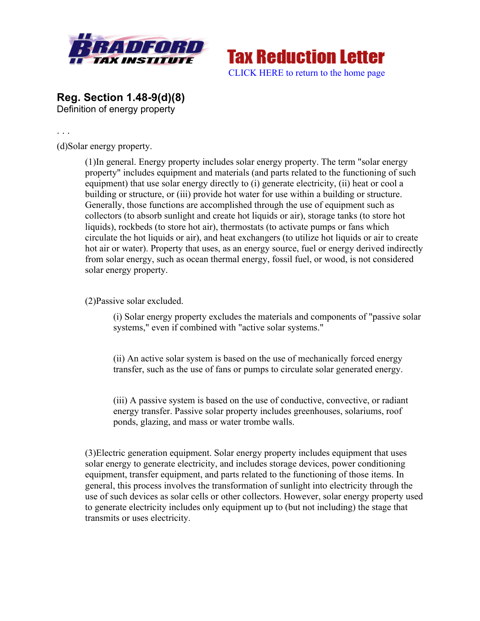



**Reg. Section 1.48-9(d)(8)** Definition of energy property

. . .

(d)Solar energy property.

(1)In general. Energy property includes solar energy property. The term "solar energy property" includes equipment and materials (and parts related to the functioning of such equipment) that use solar energy directly to (i) generate electricity, (ii) heat or cool a building or structure, or (iii) provide hot water for use within a building or structure. Generally, those functions are accomplished through the use of equipment such as collectors (to absorb sunlight and create hot liquids or air), storage tanks (to store hot liquids), rockbeds (to store hot air), thermostats (to activate pumps or fans which circulate the hot liquids or air), and heat exchangers (to utilize hot liquids or air to create hot air or water). Property that uses, as an energy source, fuel or energy derived indirectly from solar energy, such as ocean thermal energy, fossil fuel, or wood, is not considered solar energy property.

(2)Passive solar excluded.

(i) Solar energy property excludes the materials and components of "passive solar systems," even if combined with "active solar systems."

(ii) An active solar system is based on the use of mechanically forced energy transfer, such as the use of fans or pumps to circulate solar generated energy.

(iii) A passive system is based on the use of conductive, convective, or radiant energy transfer. Passive solar property includes greenhouses, solariums, roof ponds, glazing, and mass or water trombe walls.

(3)Electric generation equipment. Solar energy property includes equipment that uses solar energy to generate electricity, and includes storage devices, power conditioning equipment, transfer equipment, and parts related to the functioning of those items. In general, this process involves the transformation of sunlight into electricity through the use of such devices as solar cells or other collectors. However, solar energy property used to generate electricity includes only equipment up to (but not including) the stage that transmits or uses electricity.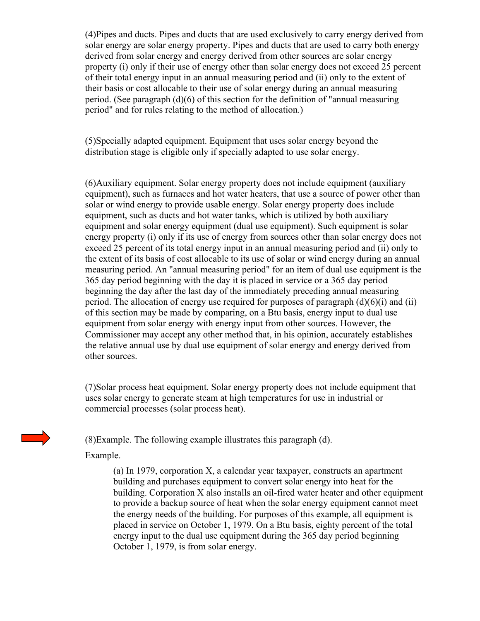(4)Pipes and ducts. Pipes and ducts that are used exclusively to carry energy derived from solar energy are solar energy property. Pipes and ducts that are used to carry both energy derived from solar energy and energy derived from other sources are solar energy property (i) only if their use of energy other than solar energy does not exceed 25 percent of their total energy input in an annual measuring period and (ii) only to the extent of their basis or cost allocable to their use of solar energy during an annual measuring period. (See paragraph (d)(6) of this section for the definition of "annual measuring period" and for rules relating to the method of allocation.)

(5)Specially adapted equipment. Equipment that uses solar energy beyond the distribution stage is eligible only if specially adapted to use solar energy.

(6)Auxiliary equipment. Solar energy property does not include equipment (auxiliary equipment), such as furnaces and hot water heaters, that use a source of power other than solar or wind energy to provide usable energy. Solar energy property does include equipment, such as ducts and hot water tanks, which is utilized by both auxiliary equipment and solar energy equipment (dual use equipment). Such equipment is solar energy property (i) only if its use of energy from sources other than solar energy does not exceed 25 percent of its total energy input in an annual measuring period and (ii) only to the extent of its basis of cost allocable to its use of solar or wind energy during an annual measuring period. An "annual measuring period" for an item of dual use equipment is the 365 day period beginning with the day it is placed in service or a 365 day period beginning the day after the last day of the immediately preceding annual measuring period. The allocation of energy use required for purposes of paragraph  $(d)(6)(i)$  and  $(ii)$ of this section may be made by comparing, on a Btu basis, energy input to dual use equipment from solar energy with energy input from other sources. However, the Commissioner may accept any other method that, in his opinion, accurately establishes the relative annual use by dual use equipment of solar energy and energy derived from other sources.

(7)Solar process heat equipment. Solar energy property does not include equipment that uses solar energy to generate steam at high temperatures for use in industrial or commercial processes (solar process heat).

(8)Example. The following example illustrates this paragraph (d).



Example.

(a) In 1979, corporation X, a calendar year taxpayer, constructs an apartment building and purchases equipment to convert solar energy into heat for the building. Corporation X also installs an oil-fired water heater and other equipment to provide a backup source of heat when the solar energy equipment cannot meet the energy needs of the building. For purposes of this example, all equipment is placed in service on October 1, 1979. On a Btu basis, eighty percent of the total energy input to the dual use equipment during the 365 day period beginning October 1, 1979, is from solar energy.